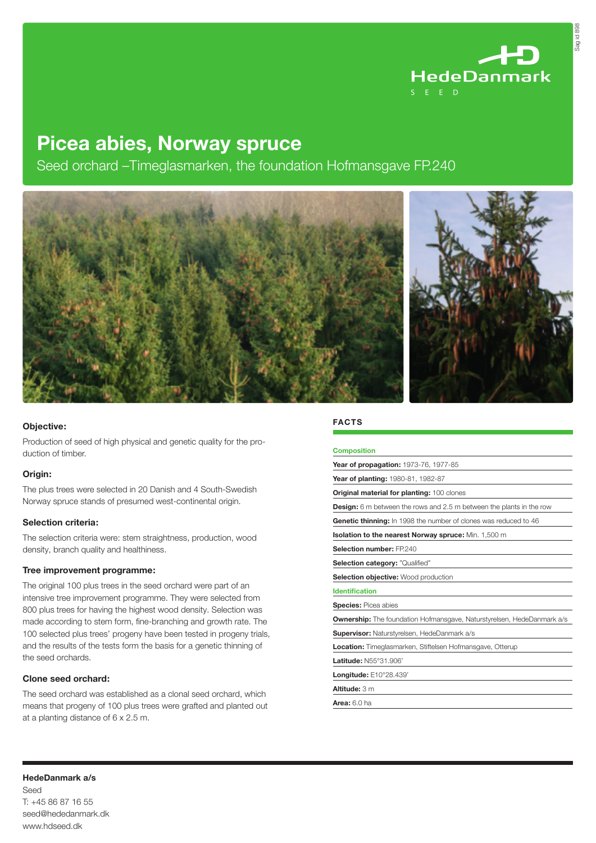

Sag id 898

# Picea abies, Norway spruce

Seed orchard –Timeglasmarken, the foundation Hofmansgave FP.240



# Objective:

Production of seed of high physical and genetic quality for the production of timber.

### Origin:

The plus trees were selected in 20 Danish and 4 South-Swedish Norway spruce stands of presumed west-continental origin.

### Selection criteria:

The selection criteria were: stem straightness, production, wood density, branch quality and healthiness.

### Tree improvement programme:

The original 100 plus trees in the seed orchard were part of an intensive tree improvement programme. They were selected from 800 plus trees for having the highest wood density. Selection was made according to stem form, fine-branching and growth rate. The 100 selected plus trees' progeny have been tested in progeny trials, and the results of the tests form the basis for a genetic thinning of the seed orchards.

# Clone seed orchard:

The seed orchard was established as a clonal seed orchard, which means that progeny of 100 plus trees were grafted and planted out at a planting distance of 6 x 2.5 m.

## **FACTS**

| <b>Composition</b>                                                            |
|-------------------------------------------------------------------------------|
| Year of propagation: 1973-76, 1977-85                                         |
| Year of planting: 1980-81, 1982-87                                            |
| Original material for planting: 100 clones                                    |
| <b>Design:</b> 6 m between the rows and 2.5 m between the plants in the row   |
| Genetic thinning: In 1998 the number of clones was reduced to 46              |
| <b>Isolation to the nearest Norway spruce:</b> Min. 1,500 m                   |
| Selection number: FP.240                                                      |
| Selection category: "Qualified"                                               |
| <b>Selection objective:</b> Wood production                                   |
| <b>Identification</b>                                                         |
| <b>Species: Picea abies</b>                                                   |
| <b>Ownership:</b> The foundation Hofmansgave, Naturstyrelsen, HedeDanmark a/s |
| <b>Supervisor:</b> Naturstyrelsen, HedeDanmark a/s                            |
| <b>Location:</b> Timeglasmarken, Stiftelsen Hofmansgave, Otterup              |
| Latitude: N55°31.906'                                                         |
| Longitude: E10°28.439'                                                        |
| Altitude: 3 m                                                                 |
| Area: $6.0$ ha                                                                |

HedeDanmark a/s Seed T: +45 86 87 16 55 seed@hededanmark.dk

www.hdseed.dk